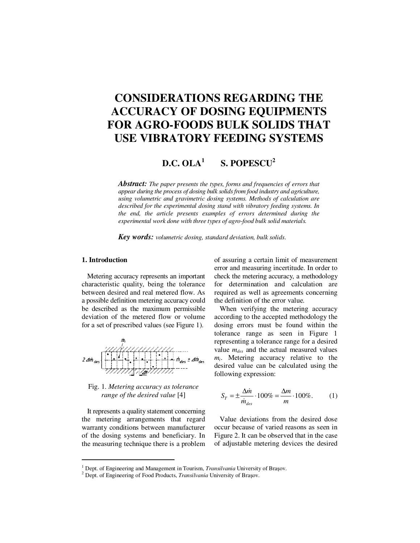# **CONSIDERATIONS REGARDING THE ACCURACY OF DOSING EQUIPMENTS FOR AGRO-FOODS BULK SOLIDS THAT USE VIBRATORY FEEDING SYSTEMS**

#### **D.C. OLA<sup>1</sup> S. POPESCU<sup>2</sup>**

*Abstract: The paper presents the types, forms and frequencies of errors that appear during the process of dosing bulk solids from food industry and agriculture, using volumetric and gravimetric dosing systems. Methods of calculation are described for the experimental dosing stand with vibratory feeding systems. In the end, the article presents examples of errors determined during the experimental work done with three types of agro-food bulk solid materials.* 

*Key words: volumetric dosing, standard deviation, bulk solids.*

# **1. Introduction**

 $\overline{a}$ 

Metering accuracy represents an important characteristic quality, being the tolerance between desired and real metered flow. As a possible definition metering accuracy could be described as the maximum permissible deviation of the metered flow or volume for a set of prescribed values (see Figure 1).



Fig. 1. *Metering accuracy as tolerance range of the desired value* [4]

It represents a quality statement concerning the metering arrangements that regard warranty conditions between manufacturer of the dosing systems and beneficiary. In the measuring technique there is a problem of assuring a certain limit of measurement error and measuring incertitude. In order to check the metering accuracy, a methodology for determination and calculation are required as well as agreements concerning the definition of the error value.

When verifying the metering accuracy according to the accepted methodology the dosing errors must be found within the tolerance range as seen in Figure 1 representing a tolerance range for a desired value *mdes* and the actual measured values *mi* . Metering accuracy relative to the desired value can be calculated using the following expression:

$$
S_T = \pm \frac{\Delta m}{\dot{m}_{des}} \cdot 100\% = \frac{\Delta m}{m} \cdot 100\%.
$$
 (1)

Value deviations from the desired dose occur because of varied reasons as seen in Figure 2. It can be observed that in the case of adjustable metering devices the desired

<sup>&</sup>lt;sup>1</sup> Dept. of Engineering and Management in Tourism, *Transilvania* University of Brașov.

<sup>2</sup> Dept. of Engineering of Food Products, *Transilvania* University of Braşov.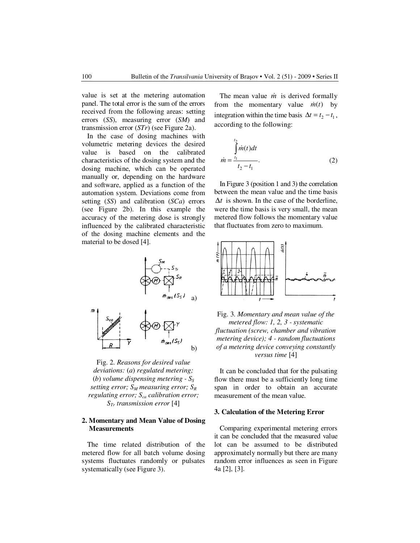value is set at the metering automation panel. The total error is the sum of the errors received from the following areas: setting errors (*SS*), measuring error (*SM*) and transmission error (*STr*) (see Figure 2a).

In the case of dosing machines with volumetric metering devices the desired value is based on the calibrated characteristics of the dosing system and the dosing machine, which can be operated manually or, depending on the hardware and software, applied as a function of the automation system. Deviations come from setting (*SS*) and calibration (*SCa*) errors (see Figure 2b). In this example the accuracy of the metering dose is strongly influenced by the calibrated characteristic of the dosing machine elements and the material to be dosed [4].

The mean value  $\dot{m}$  is derived formally from the momentary value  $\dot{m}(t)$  by integration within the time basis  $\Delta t = t_2 - t_1$ , according to the following:

$$
\dot{m} = \frac{\int_{t_1}^{t_2} \dot{m}(t)dt}{t_2 - t_1}.
$$
 (2)

In Figure 3 (position 1 and 3) the correlation between the mean value and the time basis ∆*t* is shown. In the case of the borderline, were the time basis is very small, the mean metered flow follows the momentary value that fluctuates from zero to maximum.



Fig. 2. *Reasons for desired value deviations:* (*a*) *regulated metering;*  (*b*) *volume dispensing metering - S<sup>S</sup> setting error; SM measuring error; S<sup>R</sup> regulating error; Sca calibration error; STr transmission error* [4]

## **2. Momentary and Mean Value of Dosing Measurements**

The time related distribution of the metered flow for all batch volume dosing systems fluctuates randomly or pulsates systematically (see Figure 3).



Fig. 3. *Momentary and mean value of the metered flow: 1, 2, 3 - systematic fluctuation (screw, chamber and vibration metering device); 4 - random fluctuations of a metering device conveying constantly versus time* [4]

It can be concluded that for the pulsating flow there must be a sufficiently long time span in order to obtain an accurate measurement of the mean value.

#### **3. Calculation of the Metering Error**

Comparing experimental metering errors it can be concluded that the measured value lot can be assumed to be distributed approximately normally but there are many random error influences as seen in Figure 4a [2], [3].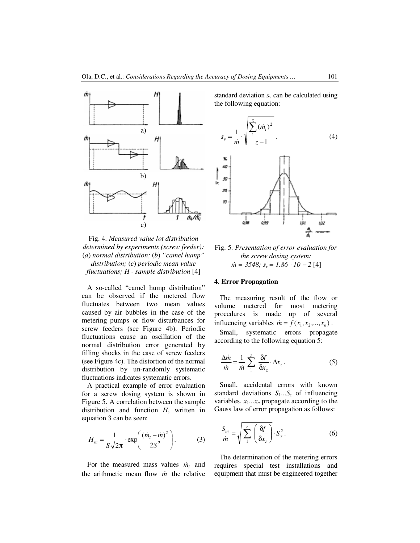

Fig. 4. *Measured value lot distribution determined by experiments (screw feeder):*  (*a*) *normal distribution;* (*b*) *"camel hump" distribution;* (*c*) *periodic mean value* 

*fluctuations; H - sample distribution* [4]

A so-called "camel hump distribution" can be observed if the metered flow fluctuates between two mean values caused by air bubbles in the case of the metering pumps or flow disturbances for screw feeders (see Figure 4b). Periodic fluctuations cause an oscillation of the normal distribution error generated by filling shocks in the case of screw feeders (see Figure 4c). The distortion of the normal distribution by un-randomly systematic fluctuations indicates systematic errors.

A practical example of error evaluation for a screw dosing system is shown in Figure 5. A correlation between the sample distribution and function *H*, written in equation 3 can be seen:

$$
H_m = \frac{1}{S\sqrt{2\pi}} \cdot \exp\left(\frac{(m_i - m)^2}{2S^2}\right). \tag{3}
$$

For the measured mass values  $\dot{m}_i$  and the arithmetic mean flow *m* the relative

standard deviation  $s<sub>v</sub>$  can be calculated using the following equation:

$$
s_{v} = \frac{1}{m} \cdot \sqrt{\frac{\sum_{i=1}^{z} (m_{i})^{2}}{z - 1}}.
$$
 (4)



Fig. 5. *Presentation of error evaluation for the screw dosing system:*   $\dot{m} = 3548$ ;  $s_v = 1.86 \cdot 10 - 2$  [4]

### **4. Error Propagation**

The measuring result of the flow or volume metered for most metering procedures is made up of several influencing variables  $\dot{m} = f(x_1, x_2, \dots, x_n)$ .

Small, systematic errors propagate according to the following equation 5:

$$
\frac{\Delta m}{\dot{m}} = \frac{1}{\dot{m}} \sum_{1}^{z} \frac{\delta f}{\delta x_{z}} \cdot \Delta x_{z}.
$$
 (5)

Small, accidental errors with known standard deviations  $S_1...S_{z}$  of influencing variables,  $x_1...x_n$  propagate according to the Gauss law of error propagation as follows:

$$
\frac{S_{\dot{m}}}{\dot{m}} = \sqrt{\sum_{1}^{z} \left(\frac{\delta f}{\delta x_{z}}\right)} \cdot S_{x}^{2}.
$$
 (6)

The determination of the metering errors requires special test installations and equipment that must be engineered together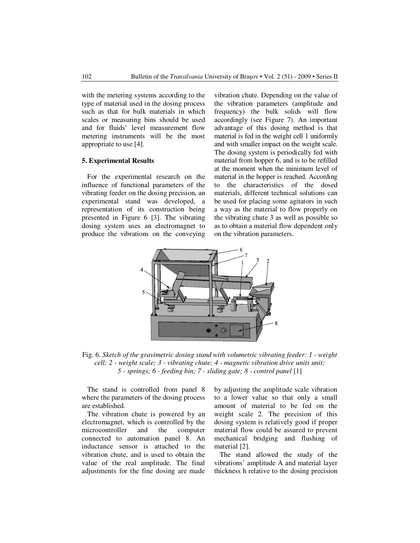with the metering systems according to the type of material used in the dosing process such as that for bulk materials in which scales or measuring bins should be used and for fluids' level measurement flow metering instruments will be the most appropriate to use [4].

### **5. Experimental Results**

For the experimental research on the influence of functional parameters of the vibrating feeder on the dosing precision, an experimental stand was developed, a representation of its construction being presented in Figure 6 [3]. The vibrating dosing system uses an electromagnet to produce the vibrations on the conveying vibration chute. Depending on the value of the vibration parameters (amplitude and frequency) the bulk solids will flow accordingly (see Figure 7). An important advantage of this dosing method is that material is fed in the weight cell 1 uniformly and with smaller impact on the weight scale. The dosing system is periodically fed with material from hopper 6, and is to be refilled at the moment when the minimum level of material in the hopper is reached. According to the characteristics of the dosed materials, different technical solutions can be used for placing some agitators in such a way as the material to flow properly on the vibrating chute 3 as well as possible so as to obtain a material flow dependent only on the vibration parameters.



Fig. 6. *Sketch of the gravimetric dosing stand with volumetric vibrating feeder: 1 - weight cell; 2 - weight scale; 3 - vibrating chute; 4 - magnetic vibration drive units unit; 5 - springs; 6 - feeding bin; 7 - sliding gate; 8 - control panel* [1]

The stand is controlled from panel 8 where the parameters of the dosing process are established.

The vibration chute is powered by an electromagnet, which is controlled by the microcontroller and the computer connected to automation panel 8. An inductance sensor is attached to the vibration chute, and is used to obtain the value of the real amplitude. The final adjustments for the fine dosing are made by adjusting the amplitude scale vibration to a lower value so that only a small amount of material to be fed on the weight scale 2. The precision of this dosing system is relatively good if proper material flow could be assured to prevent mechanical bridging and flushing of material [2].

The stand allowed the study of the vibrations' amplitude A and material layer thickness h relative to the dosing precision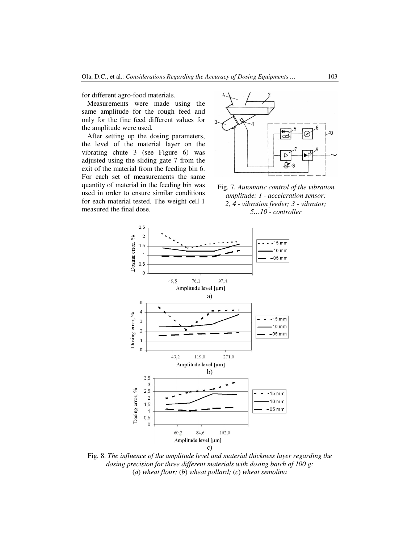for different agro-food materials.

Measurements were made using the same amplitude for the rough feed and only for the fine feed different values for the amplitude were used.

After setting up the dosing parameters, the level of the material layer on the vibrating chute 3 (see Figure 6) was adjusted using the sliding gate 7 from the exit of the material from the feeding bin 6. For each set of measurements the same quantity of material in the feeding bin was used in order to ensure similar conditions for each material tested. The weight cell 1 measured the final dose.



Fig. 7. *Automatic control of the vibration amplitude: 1 - acceleration sensor; 2, 4 - vibration feeder; 3 - vibrator; 5…10 - controller*



Fig. 8. *The influence of the amplitude level and material thickness layer regarding the dosing precision for three different materials with dosing batch of 100 g:*  (*a*) *wheat flour;* (*b*) *wheat pollard;* (*c*) *wheat semolina*